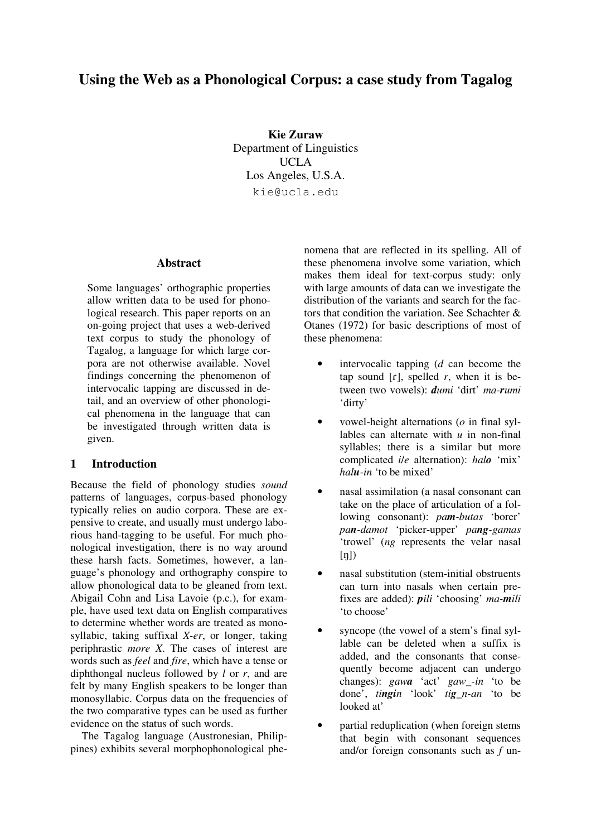# **Using the Web as a Phonological Corpus: a case study from Tagalog**

**Kie Zuraw** Department of Linguistics UCLA Los Angeles, U.S.A. kie@ucla.edu

### **Abstract**

Some languages' orthographic properties allow written data to be used for phonological research. This paper reports on an on-going project that uses a web-derived text corpus to study the phonology of Tagalog, a language for which large corpora are not otherwise available. Novel findings concerning the phenomenon of intervocalic tapping are discussed in detail, and an overview of other phonological phenomena in the language that can be investigated through written data is given.

# **1 Introduction**

Because the field of phonology studies *sound* patterns of languages, corpus-based phonology typically relies on audio corpora. These are expensive to create, and usually must undergo laborious hand-tagging to be useful. For much phonological investigation, there is no way around these harsh facts. Sometimes, however, a language's phonology and orthography conspire to allow phonological data to be gleaned from text. Abigail Cohn and Lisa Lavoie (p.c.), for example, have used text data on English comparatives to determine whether words are treated as monosyllabic, taking suffixal *X-er*, or longer, taking periphrastic *more X*. The cases of interest are words such as *feel* and *fire*, which have a tense or diphthongal nucleus followed by *l* or *r*, and are felt by many English speakers to be longer than monosyllabic. Corpus data on the frequencies of the two comparative types can be used as further evidence on the status of such words.

The Tagalog language (Austronesian, Philippines) exhibits several morphophonological phenomena that are reflected in its spelling. All of these phenomena involve some variation, which makes them ideal for text-corpus study: only with large amounts of data can we investigate the distribution of the variants and search for the factors that condition the variation. See Schachter  $\&$ Otanes (1972) for basic descriptions of most of these phenomena:

- intervocalic tapping (*d* can become the tap sound  $[r]$ , spelled *r*, when it is between two vowels): *dumi* 'dirt' *ma-rumi* 'dirty'
- vowel-height alternations (*o* in final syllables can alternate with *u* in non-final syllables; there is a similar but more complicated *i*/*e* alternation): *halo* 'mix' *halu-in* 'to be mixed'
- nasal assimilation (a nasal consonant can take on the place of articulation of a following consonant): *pam-butas* 'borer' *pan-damot* 'picker-upper' *pang-gamas* 'trowel' (*ng* represents the velar nasal  $[n]$
- nasal substitution (stem-initial obstruents can turn into nasals when certain prefixes are added): *pili* 'choosing' *ma-mili* 'to choose'
- syncope (the vowel of a stem's final syllable can be deleted when a suffix is added, and the consonants that consequently become adjacent can undergo changes): *gawa* 'act' *gaw\_-in* 'to be done', *tingin* 'look' *tig\_n-an* 'to be looked at'
- partial reduplication (when foreign stems that begin with consonant sequences and/or foreign consonants such as *f* un-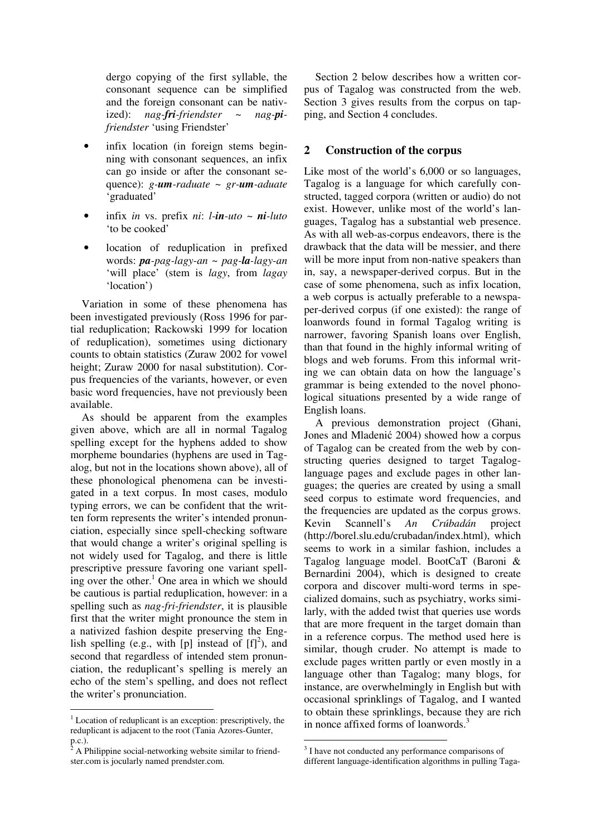dergo copying of the first syllable, the consonant sequence can be simplified and the foreign consonant can be nativized): *nag-fri-friendster* ~ *nag-pifriendster* 'using Friendster'

- infix location (in foreign stems beginning with consonant sequences, an infix can go inside or after the consonant sequence): *g-um-raduate* ~ *gr-um-aduate* 'graduated'
- infix *in* vs. prefix *ni*: *l-in-uto* ~ *ni-luto* 'to be cooked'
- location of reduplication in prefixed words: *pa-pag-lagy-an* ~ *pag-la-lagy-an* 'will place' (stem is *lagy*, from *lagay* 'location')

Variation in some of these phenomena has been investigated previously (Ross 1996 for partial reduplication; Rackowski 1999 for location of reduplication), sometimes using dictionary counts to obtain statistics (Zuraw 2002 for vowel height; Zuraw 2000 for nasal substitution). Corpus frequencies of the variants, however, or even basic word frequencies, have not previously been available.

As should be apparent from the examples given above, which are all in normal Tagalog spelling except for the hyphens added to show morpheme boundaries (hyphens are used in Tagalog, but not in the locations shown above), all of these phonological phenomena can be investigated in a text corpus. In most cases, modulo typing errors, we can be confident that the written form represents the writer's intended pronunciation, especially since spell-checking software that would change a writer's original spelling is not widely used for Tagalog, and there is little prescriptive pressure favoring one variant spelling over the other. <sup>1</sup> One area in which we should be cautious is partial reduplication, however: in a spelling such as *nag-fri-friendster*, it is plausible first that the writer might pronounce the stem in a nativized fashion despite preserving the English spelling (e.g., with [p] instead of  $[f]^2$ ), and second that regardless of intended stem pronunciation, the reduplicant's spelling is merely an echo of the stem's spelling, and does not reflect the writer's pronunciation.

Section 2 below describes how a written corpus of Tagalog was constructed from the web. Section 3 gives results from the corpus on tapping, and Section 4 concludes.

# **2 Construction of the corpus**

Like most of the world's 6,000 or so languages, Tagalog is a language for which carefully constructed, tagged corpora (written or audio) do not exist. However, unlike most of the world's languages, Tagalog has a substantial web presence. As with all web-as-corpus endeavors, there is the drawback that the data will be messier, and there will be more input from non-native speakers than in, say, a newspaper-derived corpus. But in the case of some phenomena, such as infix location, a web corpus is actually preferable to a newspaper-derived corpus (if one existed): the range of loanwords found in formal Tagalog writing is narrower, favoring Spanish loans over English, than that found in the highly informal writing of blogs and web forums. From this informal writing we can obtain data on how the language's grammar is being extended to the novel phonological situations presented by a wide range of English loans.

A previous demonstration project (Ghani, Jones and Mladenić 2004) showed how a corpus of Tagalog can be created from the web by constructing queries designed to target Tagaloglanguage pages and exclude pages in other languages; the queries are created by using a small seed corpus to estimate word frequencies, and the frequencies are updated as the corpus grows. Kevin Scannell's *An Crúbadán* project (http://borel.slu.edu/crubadan/index.html), which seems to work in a similar fashion, includes a Tagalog language model. BootCaT (Baroni & Bernardini 2004), which is designed to create corpora and discover multi-word terms in specialized domains, such as psychiatry, works similarly, with the added twist that queries use words that are more frequent in the target domain than in a reference corpus. The method used here is similar, though cruder. No attempt is made to exclude pages written partly or even mostly in a language other than Tagalog; many blogs, for instance, are overwhelmingly in English but with occasional sprinklings of Tagalog, and I wanted to obtain these sprinklings, because they are rich in nonce affixed forms of loanwords.<sup>3</sup>

 $1$  Location of reduplicant is an exception: prescriptively, the reduplicant is adjacent to the root (Tania Azores-Gunter, p.c.).

<sup>2</sup> A Philippine social-networking website similar to friendster.com is jocularly named prendster.com.

<sup>&</sup>lt;sup>3</sup> I have not conducted any performance comparisons of different language-identification algorithms in pulling Taga-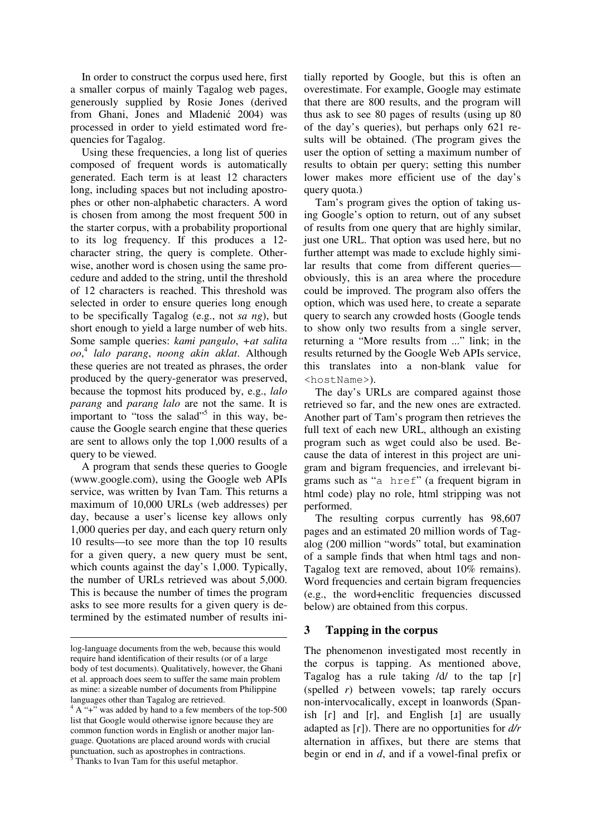In order to construct the corpus used here, first a smaller corpus of mainly Tagalog web pages, generously supplied by Rosie Jones (derived from Ghani, Jones and Mladenić 2004) was processed in order to yield estimated word frequencies for Tagalog.

Using these frequencies, a long list of queries composed of frequent words is automatically generated. Each term is at least 12 characters long, including spaces but not including apostrophes or other non-alphabetic characters. A word is chosen from among the most frequent 500 in the starter corpus, with a probability proportional to its log frequency. If this produces a 12 character string, the query is complete. Otherwise, another word is chosen using the same procedure and added to the string, until the threshold of 12 characters is reached. This threshold was selected in order to ensure queries long enough to be specifically Tagalog (e.g., not *sa ng*), but short enough to yield a large number of web hits. Some sample queries: *kami pangulo*, *+at salita oo*, 4 *lalo parang*, *noong akin aklat*. Although these queries are not treated as phrases, the order produced by the query-generator was preserved, because the topmost hits produced by, e.g., *lalo parang* and *parang lalo* are not the same. It is important to "toss the salad"<sup>5</sup> in this way, because the Google search engine that these queries are sent to allows only the top 1,000 results of a query to be viewed.

A program that sends these queries to Google (www.google.com), using the Google web APIs service, was written by Ivan Tam. This returns a maximum of 10,000 URLs (web addresses) per day, because a user's license key allows only 1,000 queries per day, and each query return only 10 results—to see more than the top 10 results for a given query, a new query must be sent, which counts against the day's 1,000. Typically, the number of URLs retrieved was about 5,000. This is because the number of times the program asks to see more results for a given query is determined by the estimated number of results ini-

Thanks to Ivan Tam for this useful metaphor.

tially reported by Google, but this is often an overestimate. For example, Google may estimate that there are 800 results, and the program will thus ask to see 80 pages of results (using up 80 of the day's queries), but perhaps only 621 results will be obtained. (The program gives the user the option of setting a maximum number of results to obtain per query; setting this number lower makes more efficient use of the day's query quota.)

Tam's program gives the option of taking using Google's option to return, out of any subset of results from one query that are highly similar, just one URL. That option was used here, but no further attempt was made to exclude highly similar results that come from different queries obviously, this is an area where the procedure could be improved. The program also offers the option, which was used here, to create a separate query to search any crowded hosts (Google tends to show only two results from a single server, returning a "More results from ..." link; in the results returned by the Google Web APIs service, this translates into a non-blank value for <hostName>).

The day's URLs are compared against those retrieved so far, and the new ones are extracted. Another part of Tam's program then retrieves the full text of each new URL, although an existing program such as wget could also be used. Because the data of interest in this project are unigram and bigram frequencies, and irrelevant bigrams such as "a href" (a frequent bigram in html code) play no role, html stripping was not performed.

The resulting corpus currently has 98,607 pages and an estimated 20 million words of Tagalog (200 million "words" total, but examination of a sample finds that when html tags and non-Tagalog text are removed, about 10% remains). Word frequencies and certain bigram frequencies (e.g., the word+enclitic frequencies discussed below) are obtained from this corpus.

## **3 Tapping in the corpus**

The phenomenon investigated most recently in the corpus is tapping. As mentioned above, Tagalog has a rule taking  $\frac{d}{dx}$  to the tap  $\lceil f \rceil$ (spelled *r*) between vowels; tap rarely occurs non-intervocalically, except in loanwords (Spanish  $[r]$  and  $[r]$ , and English  $[i]$  are usually adapted as  $[r]$ ). There are no opportunities for  $d/r$ alternation in affixes, but there are stems that begin or end in *d*, and if a vowel-final prefix or

log-language documents from the web, because this would require hand identification of their results (or of a large body of test documents). Qualitatively, however, the Ghani et al. approach does seem to suffer the same main problem as mine: a sizeable number of documents from Philippine languages other than Tagalog are retrieved.

 $4 A'' +''$  was added by hand to a few members of the top-500 list that Google would otherwise ignore because they are common function words in English or another major language. Quotations are placed around words with crucial punctuation, such as apostrophes in contractions.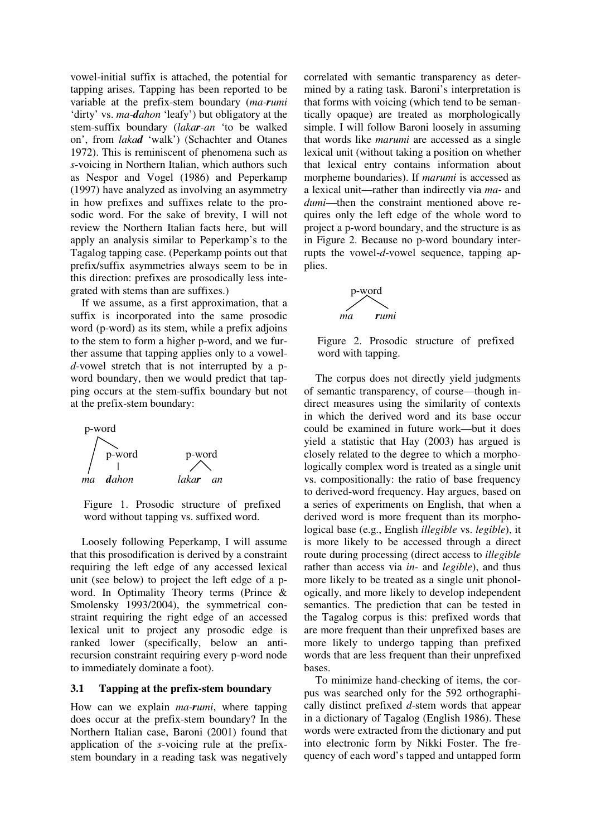vowel-initial suffix is attached, the potential for tapping arises. Tapping has been reported to be variable at the prefix-stem boundary (*ma-rumi* 'dirty' vs. *ma-dahon* 'leafy') but obligatory at the stem-suffix boundary (*lakar-an* 'to be walked on', from *lakad* 'walk') (Schachter and Otanes 1972). This is reminiscent of phenomena such as *s*-voicing in Northern Italian, which authors such as Nespor and Vogel (1986) and Peperkamp (1997) have analyzed as involving an asymmetry in how prefixes and suffixes relate to the prosodic word. For the sake of brevity, I will not review the Northern Italian facts here, but will apply an analysis similar to Peperkamp's to the Tagalog tapping case. (Peperkamp points out that prefix/suffix asymmetries always seem to be in this direction: prefixes are prosodically less integrated with stems than are suffixes.)

If we assume, as a first approximation, that a suffix is incorporated into the same prosodic word (p-word) as its stem, while a prefix adjoins to the stem to form a higher p-word, and we further assume that tapping applies only to a vowel*d*-vowel stretch that is not interrupted by a pword boundary, then we would predict that tapping occurs at the stem-suffix boundary but not at the prefix-stem boundary:



Figure 1. Prosodic structure of prefixed word without tapping vs. suffixed word.

Loosely following Peperkamp, I will assume that this prosodification is derived by a constraint requiring the left edge of any accessed lexical unit (see below) to project the left edge of a pword. In Optimality Theory terms (Prince & Smolensky 1993/2004), the symmetrical constraint requiring the right edge of an accessed lexical unit to project any prosodic edge is ranked lower (specifically, below an antirecursion constraint requiring every p-word node to immediately dominate a foot).

#### **3.1 Tapping at the prefix-stem boundary**

How can we explain *ma-rumi*, where tapping does occur at the prefix-stem boundary? In the Northern Italian case, Baroni (2001) found that application of the *s*-voicing rule at the prefixstem boundary in a reading task was negatively correlated with semantic transparency as determined by a rating task. Baroni's interpretation is that forms with voicing (which tend to be semantically opaque) are treated as morphologically simple. I will follow Baroni loosely in assuming that words like *marumi* are accessed as a single lexical unit (without taking a position on whether that lexical entry contains information about morpheme boundaries). If *marumi* is accessed as a lexical unit—rather than indirectly via *ma-* and *dumi*—then the constraint mentioned above requires only the left edge of the whole word to project a p-word boundary, and the structure is as in Figure 2. Because no p-word boundary interrupts the vowel-*d*-vowel sequence, tapping applies.



Figure 2. Prosodic structure of prefixed word with tapping.

The corpus does not directly yield judgments of semantic transparency, of course—though indirect measures using the similarity of contexts in which the derived word and its base occur could be examined in future work—but it does yield a statistic that Hay (2003) has argued is closely related to the degree to which a morphologically complex word is treated as a single unit vs. compositionally: the ratio of base frequency to derived-word frequency. Hay argues, based on a series of experiments on English, that when a derived word is more frequent than its morphological base (e.g., English *illegible* vs. *legible*), it is more likely to be accessed through a direct route during processing (direct access to *illegible* rather than access via *in-* and *legible*), and thus more likely to be treated as a single unit phonologically, and more likely to develop independent semantics. The prediction that can be tested in the Tagalog corpus is this: prefixed words that are more frequent than their unprefixed bases are more likely to undergo tapping than prefixed words that are less frequent than their unprefixed bases.

To minimize hand-checking of items, the corpus was searched only for the 592 orthographically distinct prefixed *d*-stem words that appear in a dictionary of Tagalog (English 1986). These words were extracted from the dictionary and put into electronic form by Nikki Foster. The frequency of each word's tapped and untapped form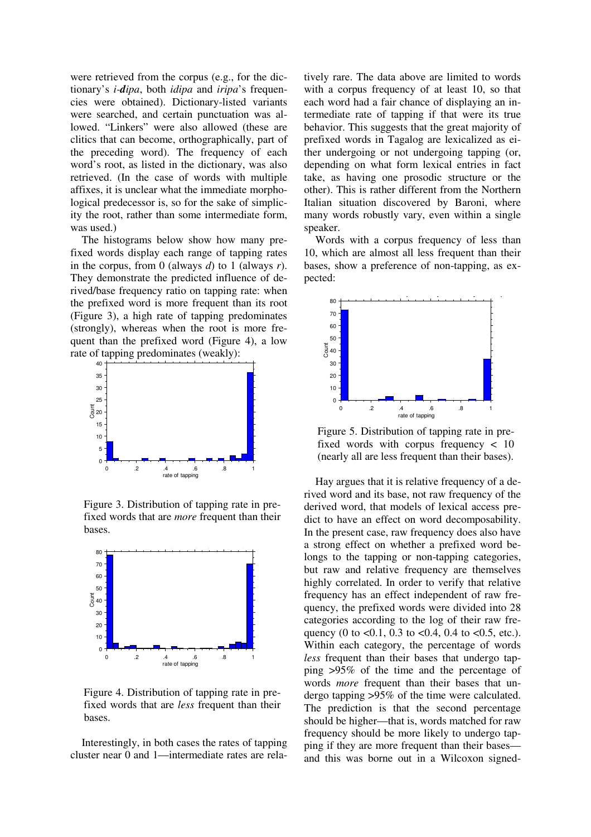were retrieved from the corpus (e.g., for the dictionary's *i-dipa*, both *idipa* and *iripa*'s frequencies were obtained). Dictionary-listed variants were searched, and certain punctuation was allowed. "Linkers" were also allowed (these are clitics that can become, orthographically, part of the preceding word). The frequency of each word's root, as listed in the dictionary, was also retrieved. (In the case of words with multiple affixes, it is unclear what the immediate morphological predecessor is, so for the sake of simplicity the root, rather than some intermediate form, was used.)

The histograms below show how many prefixed words display each range of tapping rates in the corpus, from 0 (always *d*) to 1 (always *r*). They demonstrate the predicted influence of derived/base frequency ratio on tapping rate: when the prefixed word is more frequent than its root (Figure 3), a high rate of tapping predominates (strongly), whereas when the root is more frequent than the prefixed word (Figure 4), a low **Include the inclusion of tapping predominates (weakly):**  $\delta^{40}$  **F** 



Figure 3. Distribution of tapping rate in prefixed words that are *more* frequent than their bases.



Figure 4. Distribution of tapping rate in prefixed words that are *less* frequent than their bases.

Interestingly, in both cases the rates of tapping cluster near 0 and 1—intermediate rates are relatively rare. The data above are limited to words with a corpus frequency of at least 10, so that each word had a fair chance of displaying an intermediate rate of tapping if that were its true behavior. This suggests that the great majority of prefixed words in Tagalog are lexicalized as either undergoing or not undergoing tapping (or, depending on what form lexical entries in fact take, as having one prosodic structure or the other). This is rather different from the Northern Italian situation discovered by Baroni, where many words robustly vary, even within a single speaker.

Words with a corpus frequency of less than 10, which are almost all less frequent than their bases, show a preference of non-tapping, as expected:



Figure 5. Distribution of tapping rate in prefixed words with corpus frequency < 10 (nearly all are less frequent than their bases).

**a** strong effect on whether a prefixed word be-Hay argues that it is relative frequency of a derived word and its base, not raw frequency of the derived word, that models of lexical access predict to have an effect on word decomposability. In the present case, raw frequency does also have longs to the tapping or non-tapping categories, but raw and relative frequency are themselves highly correlated. In order to verify that relative frequency has an effect independent of raw frequency, the prefixed words were divided into 28 categories according to the log of their raw frequency (0 to  $< 0.1$ , 0.3 to  $< 0.4$ , 0.4 to  $< 0.5$ , etc.). Within each category, the percentage of words *less* frequent than their bases that undergo tapping >95% of the time and the percentage of words *more* frequent than their bases that undergo tapping >95% of the time were calculated. The prediction is that the second percentage should be higher—that is, words matched for raw frequency should be more likely to undergo tapping if they are more frequent than their bases and this was borne out in a Wilcoxon signed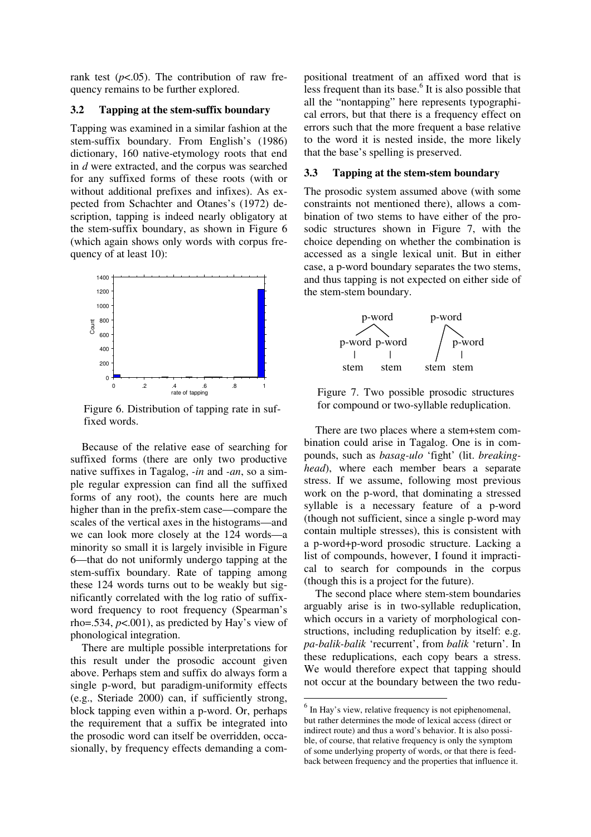rank test  $(p<.05)$ . The contribution of raw frequency remains to be further explored.

### **3.2 Tapping at the stem-suffix boundary**

Tapping was examined in a similar fashion at the stem-suffix boundary. From English's (1986) dictionary, 160 native-etymology roots that end in *d* were extracted, and the corpus was searched for any suffixed forms of these roots (with or without additional prefixes and infixes). As expected from Schachter and Otanes's (1972) description, tapping is indeed nearly obligatory at the stem-suffix boundary, as shown in Figure 6 (which again shows only words with corpus frequency of at least 10):



Figure 6. Distribution of tapping rate in suffixed words.

Because of the relative ease of searching for suffixed forms (there are only two productive native suffixes in Tagalog, *-in* and *-an*, so a simple regular expression can find all the suffixed forms of any root), the counts here are much higher than in the prefix-stem case—compare the scales of the vertical axes in the histograms—and we can look more closely at the 124 words—a minority so small it is largely invisible in Figure 6—that do not uniformly undergo tapping at the stem-suffix boundary. Rate of tapping among these 124 words turns out to be weakly but significantly correlated with the log ratio of suffixword frequency to root frequency (Spearman's rho=.534,  $p$ <.001), as predicted by Hay's view of phonological integration.

There are multiple possible interpretations for this result under the prosodic account given above. Perhaps stem and suffix do always form a single p-word, but paradigm-uniformity effects (e.g., Steriade 2000) can, if sufficiently strong, block tapping even within a p-word. Or, perhaps the requirement that a suffix be integrated into the prosodic word can itself be overridden, occasionally, by frequency effects demanding a compositional treatment of an affixed word that is less frequent than its base.<sup>6</sup> It is also possible that all the "nontapping" here represents typographical errors, but that there is a frequency effect on errors such that the more frequent a base relative to the word it is nested inside, the more likely that the base's spelling is preserved.

#### **3.3 Tapping at the stem-stem boundary**

The prosodic system assumed above (with some constraints not mentioned there), allows a combination of two stems to have either of the prosodic structures shown in Figure 7, with the choice depending on whether the combination is accessed as a single lexical unit. But in either case, a p-word boundary separates the two stems, and thus tapping is not expected on either side of the stem-stem boundary.



Figure 7. Two possible prosodic structures for compound or two-syllable reduplication.

There are two places where a stem+stem combination could arise in Tagalog. One is in compounds, such as *basag-ulo* 'fight' (lit. *breakinghead*), where each member bears a separate stress. If we assume, following most previous work on the p-word, that dominating a stressed syllable is a necessary feature of a p-word (though not sufficient, since a single p-word may contain multiple stresses), this is consistent with a p-word+p-word prosodic structure. Lacking a list of compounds, however, I found it impractical to search for compounds in the corpus (though this is a project for the future).

The second place where stem-stem boundaries arguably arise is in two-syllable reduplication, which occurs in a variety of morphological constructions, including reduplication by itself: e.g. *pa-balik-balik* 'recurrent', from *balik* 'return'. In these reduplications, each copy bears a stress. We would therefore expect that tapping should not occur at the boundary between the two redu-

 $<sup>6</sup>$  In Hay's view, relative frequency is not epiphenomenal,</sup> but rather determines the mode of lexical access (direct or indirect route) and thus a word's behavior. It is also possible, of course, that relative frequency is only the symptom of some underlying property of words, or that there is feedback between frequency and the properties that influence it.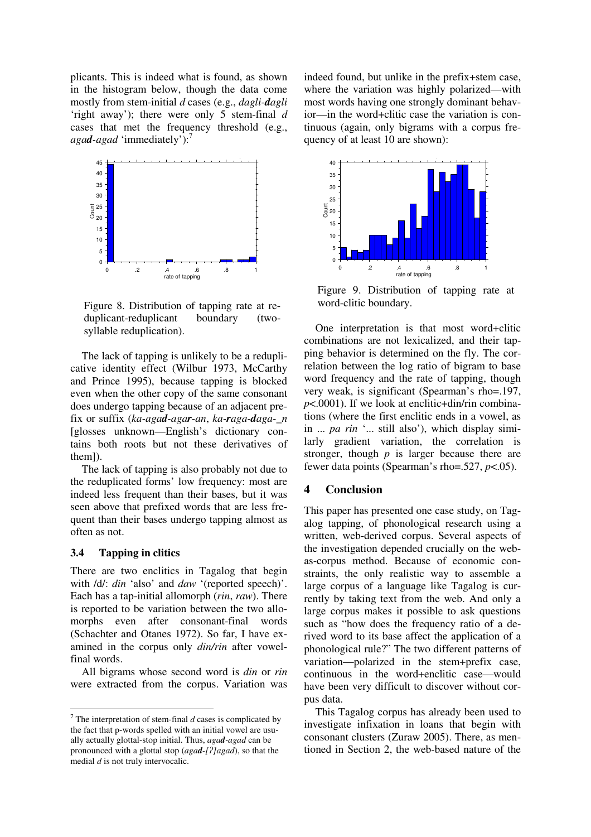plicants. This is indeed what is found, as shown in the histogram below, though the data come mostly from stem-initial *d* cases (e.g., *dagli-dagli* 'right away'); there were only 5 stem-final *d* cases that met the frequency threshold (e.g., *agad-agad* 'immediately'): 7



Figure 8. Distribution of tapping rate at reduplicant-reduplicant boundary (twosyllable reduplication).

The lack of tapping is unlikely to be a reduplicative identity effect (Wilbur 1973, McCarthy and Prince 1995), because tapping is blocked even when the other copy of the same consonant does undergo tapping because of an adjacent prefix or suffix (*ka-agad-agar-an*, *ka-raga-daga-\_n* [glosses unknown—English's dictionary contains both roots but not these derivatives of them]).

The lack of tapping is also probably not due to the reduplicated forms' low frequency: most are indeed less frequent than their bases, but it was seen above that prefixed words that are less frequent than their bases undergo tapping almost as often as not.

#### **3.4 Tapping in clitics**

There are two enclitics in Tagalog that begin with /d/: *din* 'also' and *daw* '(reported speech)'. Each has a tap-initial allomorph (*rin*, *raw*). There is reported to be variation between the two allomorphs even after consonant-final words (Schachter and Otanes 1972). So far, I have examined in the corpus only *din/rin* after vowelfinal words.

All bigrams whose second word is *din* or *rin* were extracted from the corpus. Variation was indeed found, but unlike in the prefix+stem case, where the variation was highly polarized—with most words having one strongly dominant behavior—in the word+clitic case the variation is continuous (again, only bigrams with a corpus frequency of at least 10 are shown):



Figure 9. Distribution of tapping rate at word-clitic boundary.

One interpretation is that most word+clitic combinations are not lexicalized, and their tapping behavior is determined on the fly. The correlation between the log ratio of bigram to base word frequency and the rate of tapping, though very weak, is significant (Spearman's rho=.197, *p*<.0001). If we look at enclitic+din/rin combinations (where the first enclitic ends in a vowel, as in ... *pa rin* '... still also'), which display similarly gradient variation, the correlation is stronger, though *p* is larger because there are fewer data points (Spearman's rho=.527, *p*<.05).

## **4 Conclusion**

This paper has presented one case study, on Tagalog tapping, of phonological research using a written, web-derived corpus. Several aspects of the investigation depended crucially on the webas-corpus method. Because of economic constraints, the only realistic way to assemble a large corpus of a language like Tagalog is currently by taking text from the web. And only a large corpus makes it possible to ask questions such as "how does the frequency ratio of a derived word to its base affect the application of a phonological rule?" The two different patterns of variation—polarized in the stem+prefix case, continuous in the word+enclitic case—would have been very difficult to discover without corpus data.

This Tagalog corpus has already been used to investigate infixation in loans that begin with consonant clusters (Zuraw 2005). There, as mentioned in Section 2, the web-based nature of the

<sup>7</sup> The interpretation of stem-final *d* cases is complicated by the fact that p-words spelled with an initial vowel are usually actually glottal-stop initial. Thus, *agad-agad* can be pronounced with a glottal stop (*agad-[]agad*), so that the medial *d* is not truly intervocalic.